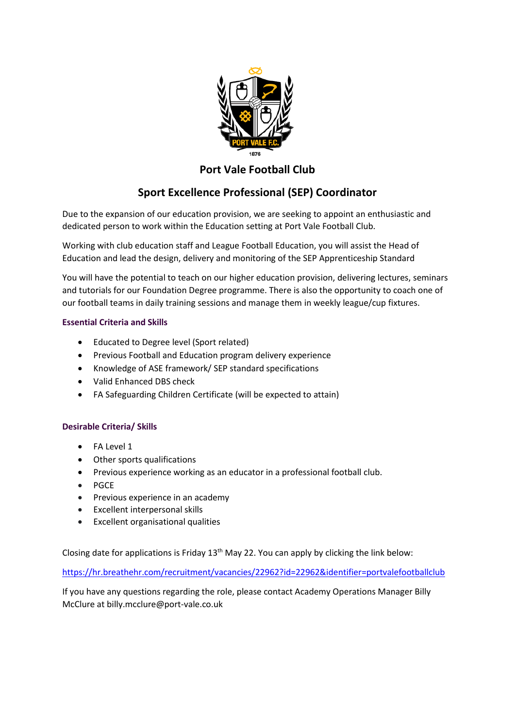

## **Port Vale Football Club**

# **Sport Excellence Professional (SEP) Coordinator**

Due to the expansion of our education provision, we are seeking to appoint an enthusiastic and dedicated person to work within the Education setting at Port Vale Football Club.

Working with club education staff and League Football Education, you will assist the Head of Education and lead the design, delivery and monitoring of the SEP Apprenticeship Standard

You will have the potential to teach on our higher education provision, delivering lectures, seminars and tutorials for our Foundation Degree programme. There is also the opportunity to coach one of our football teams in daily training sessions and manage them in weekly league/cup fixtures.

### **Essential Criteria and Skills**

- Educated to Degree level (Sport related)
- Previous Football and Education program delivery experience
- Knowledge of ASE framework/ SEP standard specifications
- Valid Enhanced DBS check
- FA Safeguarding Children Certificate (will be expected to attain)

### **Desirable Criteria/ Skills**

- FA Level 1
- Other sports qualifications
- Previous experience working as an educator in a professional football club.
- PGCE
- Previous experience in an academy
- Excellent interpersonal skills
- Excellent organisational qualities

Closing date for applications is Friday 13<sup>th</sup> May 22. You can apply by clicking the link below:

<https://hr.breathehr.com/recruitment/vacancies/22962?id=22962&identifier=portvalefootballclub>

If you have any questions regarding the role, please contact Academy Operations Manager Billy McClure at billy.mcclure@port-vale.co.uk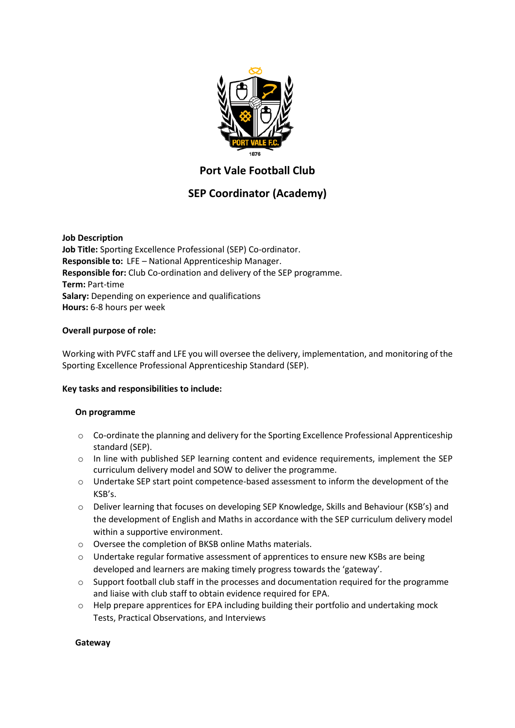

# **Port Vale Football Club**

# **SEP Coordinator (Academy)**

**Job Description Job Title:** Sporting Excellence Professional (SEP) Co-ordinator. **Responsible to:** LFE – National Apprenticeship Manager. **Responsible for:** Club Co-ordination and delivery of the SEP programme. **Term:** Part-time **Salary:** Depending on experience and qualifications **Hours:** 6-8 hours per week

### **Overall purpose of role:**

Working with PVFC staff and LFE you will oversee the delivery, implementation, and monitoring of the Sporting Excellence Professional Apprenticeship Standard (SEP).

#### **Key tasks and responsibilities to include:**

#### **On programme**

- o Co-ordinate the planning and delivery for the Sporting Excellence Professional Apprenticeship standard (SEP).
- o In line with published SEP learning content and evidence requirements, implement the SEP curriculum delivery model and SOW to deliver the programme.
- o Undertake SEP start point competence-based assessment to inform the development of the KSB's.
- o Deliver learning that focuses on developing SEP Knowledge, Skills and Behaviour (KSB's) and the development of English and Maths in accordance with the SEP curriculum delivery model within a supportive environment.
- o Oversee the completion of BKSB online Maths materials.
- $\circ$  Undertake regular formative assessment of apprentices to ensure new KSBs are being developed and learners are making timely progress towards the 'gateway'.
- $\circ$  Support football club staff in the processes and documentation required for the programme and liaise with club staff to obtain evidence required for EPA.
- $\circ$  Help prepare apprentices for EPA including building their portfolio and undertaking mock Tests, Practical Observations, and Interviews

#### **Gateway**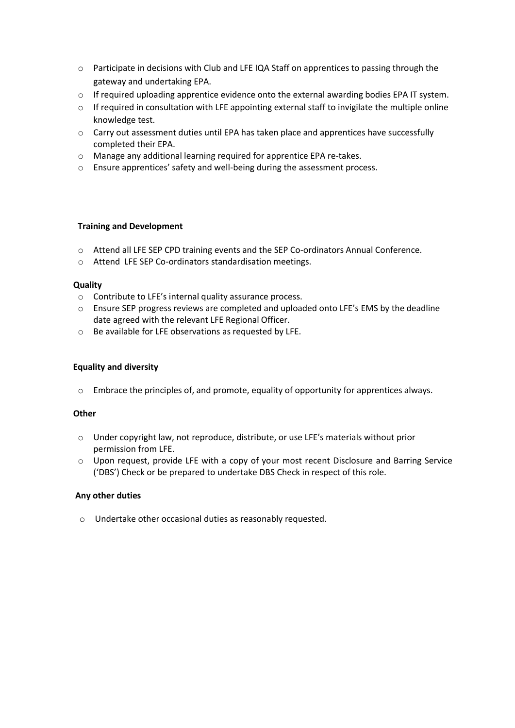- o Participate in decisions with Club and LFE IQA Staff on apprentices to passing through the gateway and undertaking EPA.
- o If required uploading apprentice evidence onto the external awarding bodies EPA IT system.
- o If required in consultation with LFE appointing external staff to invigilate the multiple online knowledge test.
- o Carry out assessment duties until EPA has taken place and apprentices have successfully completed their EPA.
- o Manage any additional learning required for apprentice EPA re-takes.
- o Ensure apprentices' safety and well-being during the assessment process.

#### **Training and Development**

- o Attend all LFE SEP CPD training events and the SEP Co-ordinators Annual Conference.
- o Attend LFE SEP Co-ordinators standardisation meetings.

#### **Quality**

- o Contribute to LFE's internal quality assurance process.
- o Ensure SEP progress reviews are completed and uploaded onto LFE's EMS by the deadline date agreed with the relevant LFE Regional Officer.
- o Be available for LFE observations as requested by LFE.

#### **Equality and diversity**

o Embrace the principles of, and promote, equality of opportunity for apprentices always.

#### **Other**

- o Under copyright law, not reproduce, distribute, or use LFE's materials without prior permission from LFE.
- $\circ$  Upon request, provide LFE with a copy of your most recent Disclosure and Barring Service ('DBS') Check or be prepared to undertake DBS Check in respect of this role.

#### **Any other duties**

o Undertake other occasional duties as reasonably requested.